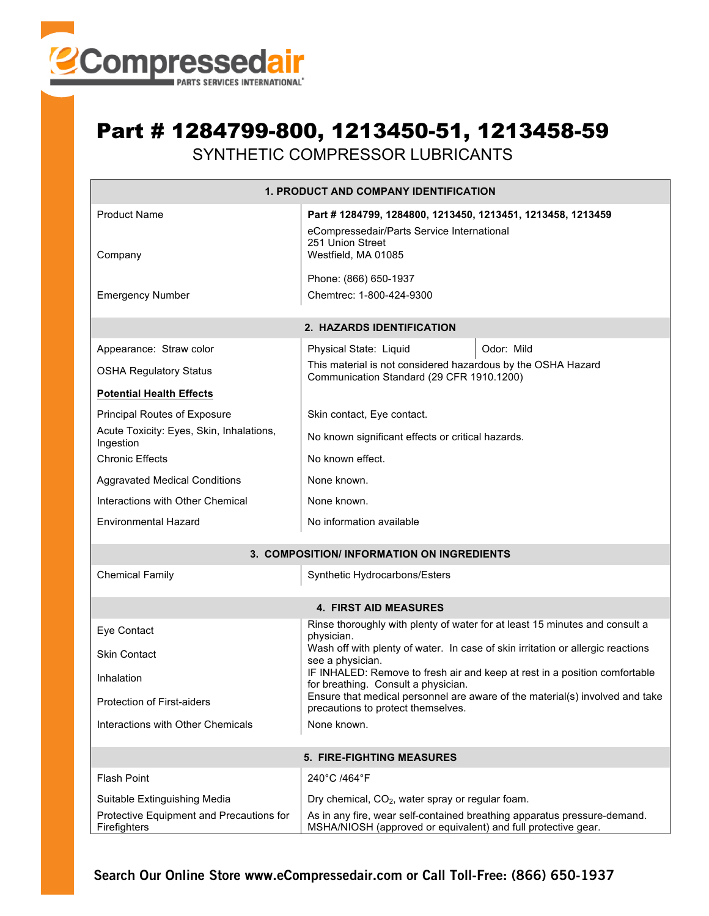

## Part # 1284799-800, 1213450-51, 1213458-59

SYNTHETIC COMPRESSOR LUBRICANTS

| 1. PRODUCT AND COMPANY IDENTIFICATION                    |                                                                                                                                           |                                                                                 |  |  |  |  |  |  |
|----------------------------------------------------------|-------------------------------------------------------------------------------------------------------------------------------------------|---------------------------------------------------------------------------------|--|--|--|--|--|--|
| Product Name                                             | Part #1284799, 1284800, 1213450, 1213451, 1213458, 1213459<br>eCompressedair/Parts Service International<br>251 Union Street              |                                                                                 |  |  |  |  |  |  |
| Company                                                  | Westfield, MA 01085                                                                                                                       |                                                                                 |  |  |  |  |  |  |
|                                                          | Phone: (866) 650-1937                                                                                                                     |                                                                                 |  |  |  |  |  |  |
| <b>Emergency Number</b>                                  | Chemtrec: 1-800-424-9300                                                                                                                  |                                                                                 |  |  |  |  |  |  |
|                                                          | 2. HAZARDS IDENTIFICATION                                                                                                                 |                                                                                 |  |  |  |  |  |  |
| Appearance: Straw color                                  | Physical State: Liquid                                                                                                                    | Odor: Mild                                                                      |  |  |  |  |  |  |
| <b>OSHA Regulatory Status</b>                            | This material is not considered hazardous by the OSHA Hazard<br>Communication Standard (29 CFR 1910.1200)                                 |                                                                                 |  |  |  |  |  |  |
| <b>Potential Health Effects</b>                          |                                                                                                                                           |                                                                                 |  |  |  |  |  |  |
| Principal Routes of Exposure                             | Skin contact, Eye contact.                                                                                                                |                                                                                 |  |  |  |  |  |  |
| Acute Toxicity: Eyes, Skin, Inhalations,<br>Ingestion    | No known significant effects or critical hazards.                                                                                         |                                                                                 |  |  |  |  |  |  |
| <b>Chronic Effects</b>                                   | No known effect.                                                                                                                          |                                                                                 |  |  |  |  |  |  |
| <b>Aggravated Medical Conditions</b>                     | None known.                                                                                                                               |                                                                                 |  |  |  |  |  |  |
| Interactions with Other Chemical                         | None known.                                                                                                                               |                                                                                 |  |  |  |  |  |  |
| <b>Environmental Hazard</b>                              | No information available                                                                                                                  |                                                                                 |  |  |  |  |  |  |
|                                                          | 3. COMPOSITION/ INFORMATION ON INGREDIENTS                                                                                                |                                                                                 |  |  |  |  |  |  |
| <b>Chemical Family</b>                                   | Synthetic Hydrocarbons/Esters                                                                                                             |                                                                                 |  |  |  |  |  |  |
|                                                          | <b>4. FIRST AID MEASURES</b>                                                                                                              |                                                                                 |  |  |  |  |  |  |
| Eye Contact                                              | physician.                                                                                                                                | Rinse thoroughly with plenty of water for at least 15 minutes and consult a     |  |  |  |  |  |  |
| <b>Skin Contact</b>                                      | see a physician.                                                                                                                          | Wash off with plenty of water. In case of skin irritation or allergic reactions |  |  |  |  |  |  |
| Inhalation                                               | for breathing. Consult a physician.                                                                                                       | IF INHALED: Remove to fresh air and keep at rest in a position comfortable      |  |  |  |  |  |  |
| Protection of First-aiders                               | Ensure that medical personnel are aware of the material(s) involved and take<br>precautions to protect themselves.                        |                                                                                 |  |  |  |  |  |  |
| Interactions with Other Chemicals                        | None known.                                                                                                                               |                                                                                 |  |  |  |  |  |  |
| <b>5. FIRE-FIGHTING MEASURES</b>                         |                                                                                                                                           |                                                                                 |  |  |  |  |  |  |
| <b>Flash Point</b>                                       | 240°C /464°F                                                                                                                              |                                                                                 |  |  |  |  |  |  |
| Suitable Extinguishing Media                             | Dry chemical, CO <sub>2</sub> , water spray or regular foam.                                                                              |                                                                                 |  |  |  |  |  |  |
| Protective Equipment and Precautions for<br>Firefighters | As in any fire, wear self-contained breathing apparatus pressure-demand.<br>MSHA/NIOSH (approved or equivalent) and full protective gear. |                                                                                 |  |  |  |  |  |  |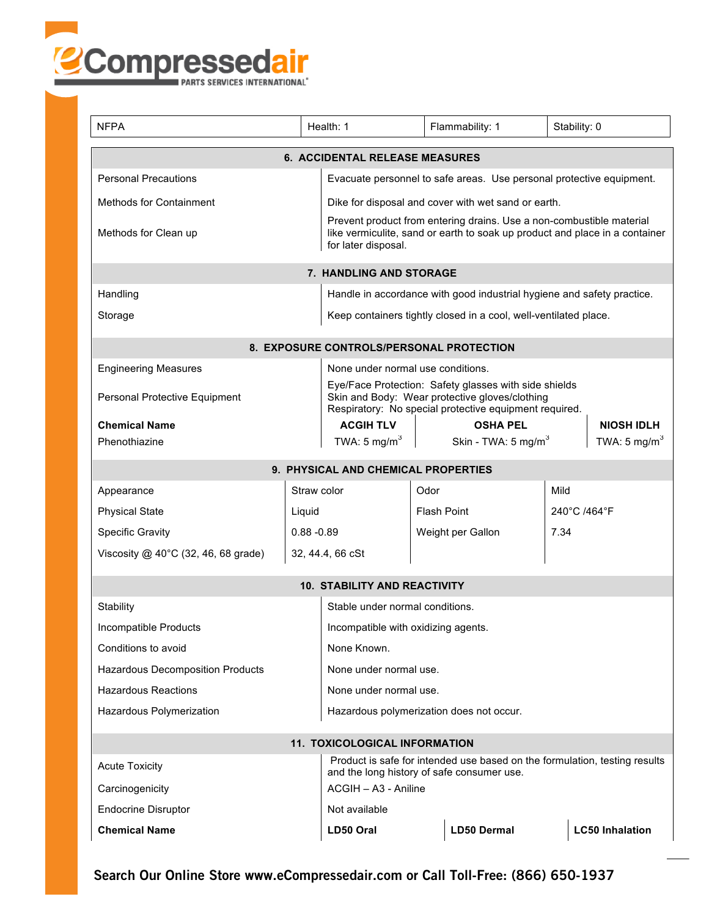

| <b>NFPA</b>                                                       |                                                                                                                          | Health: 1                                                                                                                                                                  |      | Flammability: 1                 |  | Stability: 0             |  |  |
|-------------------------------------------------------------------|--------------------------------------------------------------------------------------------------------------------------|----------------------------------------------------------------------------------------------------------------------------------------------------------------------------|------|---------------------------------|--|--------------------------|--|--|
| <b>6. ACCIDENTAL RELEASE MEASURES</b>                             |                                                                                                                          |                                                                                                                                                                            |      |                                 |  |                          |  |  |
| <b>Personal Precautions</b>                                       |                                                                                                                          | Evacuate personnel to safe areas. Use personal protective equipment.                                                                                                       |      |                                 |  |                          |  |  |
| <b>Methods for Containment</b>                                    |                                                                                                                          | Dike for disposal and cover with wet sand or earth.                                                                                                                        |      |                                 |  |                          |  |  |
| Methods for Clean up                                              |                                                                                                                          | Prevent product from entering drains. Use a non-combustible material<br>like vermiculite, sand or earth to soak up product and place in a container<br>for later disposal. |      |                                 |  |                          |  |  |
| 7. HANDLING AND STORAGE                                           |                                                                                                                          |                                                                                                                                                                            |      |                                 |  |                          |  |  |
| Handling                                                          |                                                                                                                          | Handle in accordance with good industrial hygiene and safety practice.                                                                                                     |      |                                 |  |                          |  |  |
| Storage                                                           |                                                                                                                          | Keep containers tightly closed in a cool, well-ventilated place.                                                                                                           |      |                                 |  |                          |  |  |
| 8. EXPOSURE CONTROLS/PERSONAL PROTECTION                          |                                                                                                                          |                                                                                                                                                                            |      |                                 |  |                          |  |  |
| <b>Engineering Measures</b><br>None under normal use conditions.  |                                                                                                                          |                                                                                                                                                                            |      |                                 |  |                          |  |  |
| Personal Protective Equipment                                     |                                                                                                                          | Eye/Face Protection: Safety glasses with side shields<br>Skin and Body: Wear protective gloves/clothing<br>Respiratory: No special protective equipment required.          |      |                                 |  |                          |  |  |
| <b>Chemical Name</b>                                              |                                                                                                                          | <b>ACGIH TLV</b>                                                                                                                                                           |      | <b>OSHA PEL</b>                 |  | <b>NIOSH IDLH</b>        |  |  |
| Phenothiazine                                                     |                                                                                                                          | TWA: 5 mg/m $3$                                                                                                                                                            |      | Skin - TWA: 5 mg/m <sup>3</sup> |  | TWA: 5 mg/m <sup>3</sup> |  |  |
|                                                                   |                                                                                                                          | 9. PHYSICAL AND CHEMICAL PROPERTIES                                                                                                                                        |      |                                 |  |                          |  |  |
| Appearance                                                        | Straw color                                                                                                              |                                                                                                                                                                            | Odor |                                 |  | Mild                     |  |  |
| <b>Physical State</b>                                             | Liquid                                                                                                                   |                                                                                                                                                                            |      | <b>Flash Point</b>              |  | 240°C /464°F             |  |  |
| <b>Specific Gravity</b>                                           | $0.88 - 0.89$                                                                                                            |                                                                                                                                                                            |      | Weight per Gallon               |  | 7.34                     |  |  |
| Viscosity $@$ 40°C (32, 46, 68 grade)                             |                                                                                                                          | 32, 44.4, 66 cSt                                                                                                                                                           |      |                                 |  |                          |  |  |
|                                                                   |                                                                                                                          | <b>10. STABILITY AND REACTIVITY</b>                                                                                                                                        |      |                                 |  |                          |  |  |
| Stability<br>Stable under normal conditions.                      |                                                                                                                          |                                                                                                                                                                            |      |                                 |  |                          |  |  |
| Incompatible Products<br>Incompatible with oxidizing agents.      |                                                                                                                          |                                                                                                                                                                            |      |                                 |  |                          |  |  |
| Conditions to avoid<br>None Known.                                |                                                                                                                          |                                                                                                                                                                            |      |                                 |  |                          |  |  |
| <b>Hazardous Decomposition Products</b><br>None under normal use. |                                                                                                                          |                                                                                                                                                                            |      |                                 |  |                          |  |  |
| <b>Hazardous Reactions</b><br>None under normal use.              |                                                                                                                          |                                                                                                                                                                            |      |                                 |  |                          |  |  |
| Hazardous Polymerization                                          |                                                                                                                          | Hazardous polymerization does not occur.                                                                                                                                   |      |                                 |  |                          |  |  |
| 11. TOXICOLOGICAL INFORMATION                                     |                                                                                                                          |                                                                                                                                                                            |      |                                 |  |                          |  |  |
| <b>Acute Toxicity</b>                                             | Product is safe for intended use based on the formulation, testing results<br>and the long history of safe consumer use. |                                                                                                                                                                            |      |                                 |  |                          |  |  |
| Carcinogenicity                                                   |                                                                                                                          | ACGIH - A3 - Aniline                                                                                                                                                       |      |                                 |  |                          |  |  |
| <b>Endocrine Disruptor</b>                                        |                                                                                                                          | Not available                                                                                                                                                              |      |                                 |  |                          |  |  |
| <b>Chemical Name</b>                                              |                                                                                                                          | LD50 Oral                                                                                                                                                                  |      | <b>LD50 Dermal</b>              |  | <b>LC50 Inhalation</b>   |  |  |

**Search Our Online Store www.eCompressedair.com or Call Toll-Free: (866) 650-1937**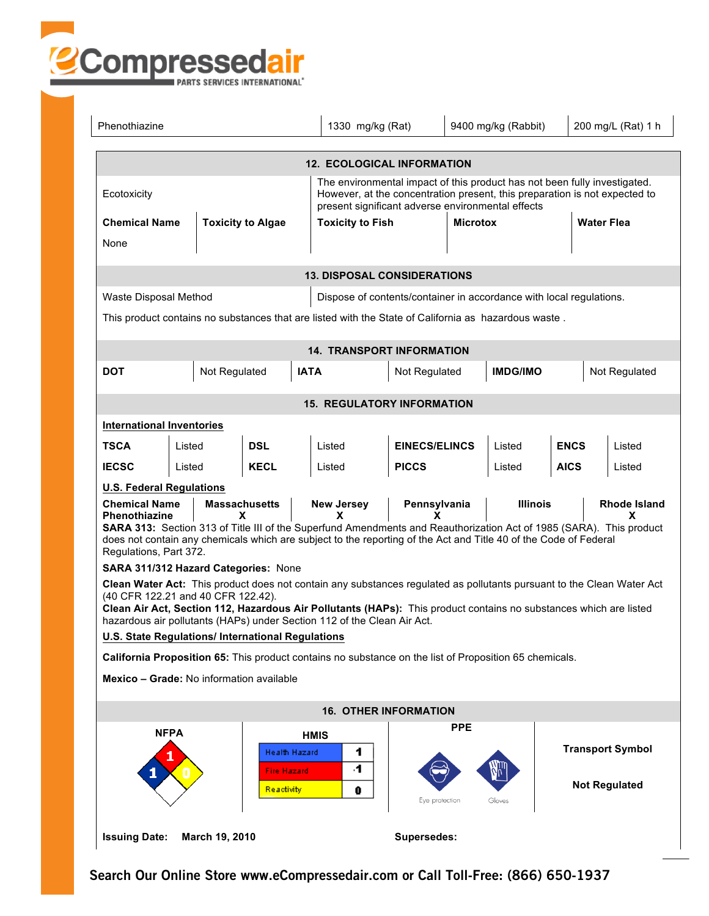

| Phenothiazine                                                                                                                                                                                                                                                                                                                                               |                                                                                                                                                                                                                                                                                                |                                         | 1330 mg/kg (Rat)                                                                                                 |                         | 9400 mg/kg (Rabbit) |                 |             | 200 mg/L (Rat) 1 h      |  |
|-------------------------------------------------------------------------------------------------------------------------------------------------------------------------------------------------------------------------------------------------------------------------------------------------------------------------------------------------------------|------------------------------------------------------------------------------------------------------------------------------------------------------------------------------------------------------------------------------------------------------------------------------------------------|-----------------------------------------|------------------------------------------------------------------------------------------------------------------|-------------------------|---------------------|-----------------|-------------|-------------------------|--|
| <b>12. ECOLOGICAL INFORMATION</b>                                                                                                                                                                                                                                                                                                                           |                                                                                                                                                                                                                                                                                                |                                         |                                                                                                                  |                         |                     |                 |             |                         |  |
| The environmental impact of this product has not been fully investigated.<br>However, at the concentration present, this preparation is not expected to<br>Ecotoxicity<br>present significant adverse environmental effects                                                                                                                                 |                                                                                                                                                                                                                                                                                                |                                         |                                                                                                                  |                         |                     |                 |             |                         |  |
| <b>Chemical Name</b>                                                                                                                                                                                                                                                                                                                                        |                                                                                                                                                                                                                                                                                                | <b>Toxicity to Algae</b>                |                                                                                                                  | <b>Toxicity to Fish</b> |                     | <b>Microtox</b> |             | <b>Water Flea</b>       |  |
| None                                                                                                                                                                                                                                                                                                                                                        |                                                                                                                                                                                                                                                                                                |                                         |                                                                                                                  |                         |                     |                 |             |                         |  |
| <b>13. DISPOSAL CONSIDERATIONS</b>                                                                                                                                                                                                                                                                                                                          |                                                                                                                                                                                                                                                                                                |                                         |                                                                                                                  |                         |                     |                 |             |                         |  |
| Waste Disposal Method                                                                                                                                                                                                                                                                                                                                       |                                                                                                                                                                                                                                                                                                |                                         | Dispose of contents/container in accordance with local regulations.                                              |                         |                     |                 |             |                         |  |
| This product contains no substances that are listed with the State of California as hazardous waste.                                                                                                                                                                                                                                                        |                                                                                                                                                                                                                                                                                                |                                         |                                                                                                                  |                         |                     |                 |             |                         |  |
|                                                                                                                                                                                                                                                                                                                                                             | <b>14. TRANSPORT INFORMATION</b>                                                                                                                                                                                                                                                               |                                         |                                                                                                                  |                         |                     |                 |             |                         |  |
| <b>DOT</b>                                                                                                                                                                                                                                                                                                                                                  | Not Regulated                                                                                                                                                                                                                                                                                  |                                         | <b>IATA</b>                                                                                                      | Not Regulated           |                     | <b>IMDG/IMO</b> |             | Not Regulated           |  |
| <b>15. REGULATORY INFORMATION</b>                                                                                                                                                                                                                                                                                                                           |                                                                                                                                                                                                                                                                                                |                                         |                                                                                                                  |                         |                     |                 |             |                         |  |
| <b>International Inventories</b>                                                                                                                                                                                                                                                                                                                            |                                                                                                                                                                                                                                                                                                |                                         |                                                                                                                  |                         |                     |                 |             |                         |  |
| <b>TSCA</b>                                                                                                                                                                                                                                                                                                                                                 | Listed                                                                                                                                                                                                                                                                                         | <b>DSL</b>                              | Listed                                                                                                           | <b>EINECS/ELINCS</b>    |                     | Listed          | <b>ENCS</b> | Listed                  |  |
| <b>IECSC</b>                                                                                                                                                                                                                                                                                                                                                | Listed                                                                                                                                                                                                                                                                                         | <b>KECL</b>                             | Listed                                                                                                           | <b>PICCS</b>            |                     | Listed          | <b>AICS</b> | Listed                  |  |
| <b>U.S. Federal Regulations</b>                                                                                                                                                                                                                                                                                                                             |                                                                                                                                                                                                                                                                                                |                                         |                                                                                                                  |                         |                     |                 |             |                         |  |
|                                                                                                                                                                                                                                                                                                                                                             | <b>Massachusetts</b><br><b>New Jersey</b><br>Pennsylvania<br><b>Illinois</b><br><b>Rhode Island</b><br><b>Chemical Name</b><br><b>Phenothiazine</b><br>X<br>x<br>x<br>X<br>SARA 313: Section 313 of Title III of the Superfund Amendments and Reauthorization Act of 1985 (SARA). This product |                                         |                                                                                                                  |                         |                     |                 |             |                         |  |
| Regulations, Part 372.                                                                                                                                                                                                                                                                                                                                      |                                                                                                                                                                                                                                                                                                |                                         | does not contain any chemicals which are subject to the reporting of the Act and Title 40 of the Code of Federal |                         |                     |                 |             |                         |  |
|                                                                                                                                                                                                                                                                                                                                                             | SARA 311/312 Hazard Categories: None                                                                                                                                                                                                                                                           |                                         |                                                                                                                  |                         |                     |                 |             |                         |  |
| Clean Water Act: This product does not contain any substances regulated as pollutants pursuant to the Clean Water Act<br>(40 CFR 122.21 and 40 CFR 122.42).<br>Clean Air Act, Section 112, Hazardous Air Pollutants (HAPs): This product contains no substances which are listed<br>hazardous air pollutants (HAPs) under Section 112 of the Clean Air Act. |                                                                                                                                                                                                                                                                                                |                                         |                                                                                                                  |                         |                     |                 |             |                         |  |
|                                                                                                                                                                                                                                                                                                                                                             | U.S. State Regulations/ International Regulations                                                                                                                                                                                                                                              |                                         |                                                                                                                  |                         |                     |                 |             |                         |  |
| California Proposition 65: This product contains no substance on the list of Proposition 65 chemicals.                                                                                                                                                                                                                                                      |                                                                                                                                                                                                                                                                                                |                                         |                                                                                                                  |                         |                     |                 |             |                         |  |
| Mexico - Grade: No information available                                                                                                                                                                                                                                                                                                                    |                                                                                                                                                                                                                                                                                                |                                         |                                                                                                                  |                         |                     |                 |             |                         |  |
| <b>16. OTHER INFORMATION</b>                                                                                                                                                                                                                                                                                                                                |                                                                                                                                                                                                                                                                                                |                                         |                                                                                                                  |                         |                     |                 |             |                         |  |
| <b>NFPA</b>                                                                                                                                                                                                                                                                                                                                                 |                                                                                                                                                                                                                                                                                                | Health Hazard                           | <b>HMIS</b><br>1                                                                                                 |                         | <b>PPE</b>          |                 |             | <b>Transport Symbol</b> |  |
|                                                                                                                                                                                                                                                                                                                                                             |                                                                                                                                                                                                                                                                                                | <b>Fire Hazard</b><br><b>Reactivity</b> | 4<br>0                                                                                                           | tye protection          |                     | Gloves          |             | <b>Not Regulated</b>    |  |
| <b>Issuing Date:</b>                                                                                                                                                                                                                                                                                                                                        | March 19, 2010                                                                                                                                                                                                                                                                                 |                                         |                                                                                                                  | Supersedes:             |                     |                 |             |                         |  |

**Search Our Online Store www.eCompressedair.com or Call Toll-Free: (866) 650-1937**